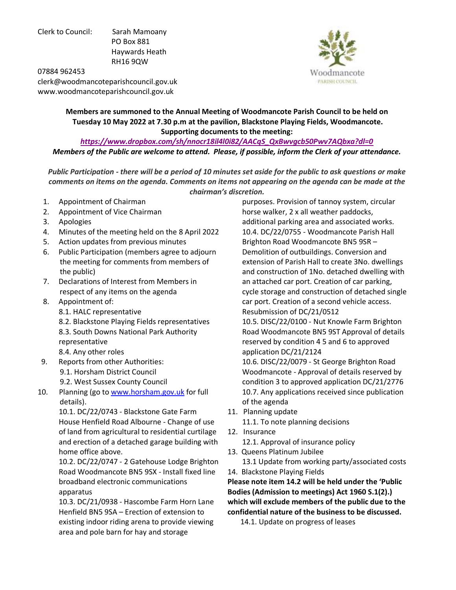Clerk to Council: Sarah Mamoany PO Box 881 Haywards Heath RH16 9QW



07884 962453 clerk@woodmancoteparishcouncil.gov.uk www.woodmancoteparishcouncil.gov.uk

> **Members are summoned to the Annual Meeting of Woodmancote Parish Council to be held on Tuesday 10 May 2022 at 7.30 p.m at the pavilion, Blackstone Playing Fields, Woodmancote. Supporting documents to the meeting:**

*[https://www.dropbox.com/sh/nnocr18il4l0i82/AACqS\\_QxBwvgcb50Pwv7AQbxa?dl=0](https://www.dropbox.com/sh/nnocr18il4l0i82/AACqS_QxBwvgcb50Pwv7AQbxa?dl=0) Members of the Public are welcome to attend. Please, if possible, inform the Clerk of your attendance.* 

*Public Participation - there will be a period of 10 minutes set aside for the public to ask questions or make comments on items on the agenda. Comments on items not appearing on the agenda can be made at the chairman's discretion.* 

- 1. Appointment of Chairman
- 2. Appointment of Vice Chairman
- 3. Apologies
- 4. Minutes of the meeting held on the 8 April 2022
- 5. Action updates from previous minutes
- 6. Public Participation (members agree to adjourn the meeting for comments from members of the public)
- 7. Declarations of Interest from Members in respect of any items on the agenda
- 8. Appointment of:
	- 8.1. HALC representative
	- 8.2. Blackstone Playing Fields representatives 8.3. South Downs National Park Authority representative
	- 8.4. Any other roles
- 9. Reports from other Authorities:
	- 9.1. Horsham District Council
	- 9.2. West Sussex County Council
- 10. Planning (go to [www.horsham.gov.uk](http://www.horsham.gov.uk/) for full details).

10.1. DC/22/0743 - Blackstone Gate Farm House Henfield Road Albourne - Change of use of land from agricultural to residential curtilage and erection of a detached garage building with home office above.

10.2. DC/22/0747 - 2 Gatehouse Lodge Brighton Road Woodmancote BN5 9SX - Install fixed line broadband electronic communications apparatus

10.3. DC/21/0938 - Hascombe Farm Horn Lane Henfield BN5 9SA – Erection of extension to existing indoor riding arena to provide viewing area and pole barn for hay and storage

 purposes. Provision of tannoy system, circular horse walker, 2 x all weather paddocks, additional parking area and associated works. 10.4. DC/22/0755 - Woodmancote Parish Hall Brighton Road Woodmancote BN5 9SR – Demolition of outbuildings. Conversion and extension of Parish Hall to create 3No. dwellings and construction of 1No. detached dwelling with an attached car port. Creation of car parking, cycle storage and construction of detached single car port. Creation of a second vehicle access. Resubmission of DC/21/0512

 10.5. DISC/22/0100 - Nut Knowle Farm Brighton Road Woodmancote BN5 9ST Approval of details reserved by condition 4 5 and 6 to approved application DC/21/2124

 10.6. DISC/22/0079 - St George Brighton Road Woodmancote - Approval of details reserved by condition 3 to approved application DC/21/2776 10.7. Any applications received since publication of the agenda

11. Planning update

11.1. To note planning decisions

- 12. Insurance
	- 12.1. Approval of insurance policy
- 13. Queens Platinum Jubilee

 13.1 Update from working party/associated costs 14. Blackstone Playing Fields

**Please note item 14.2 will be held under the 'Public Bodies (Admission to meetings) Act 1960 S.1(2).) which will exclude members of the public due to the confidential nature of the business to be discussed.** 

14.1. Update on progress of leases